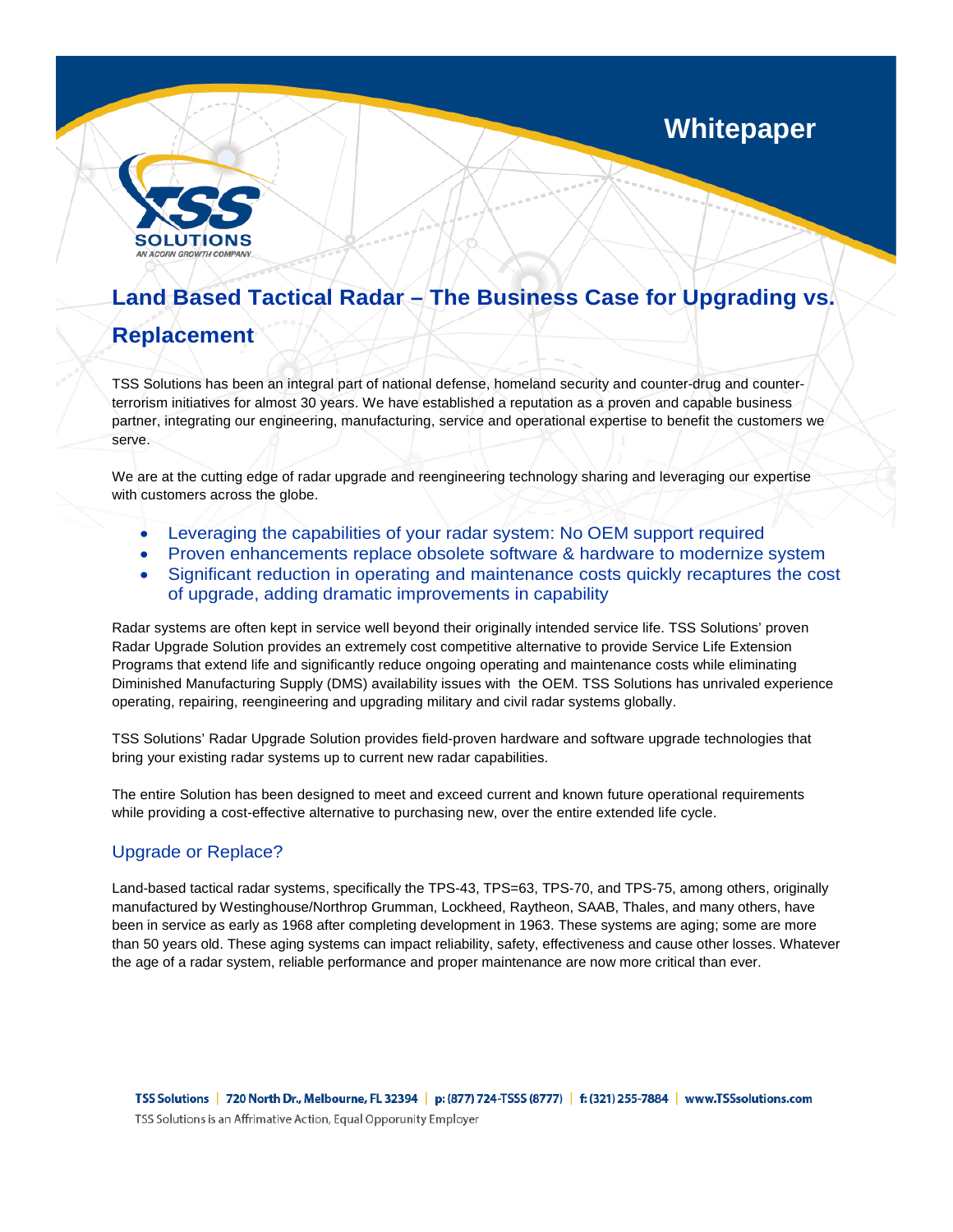**Whitepaper**



# **Land Based Tactical Radar – The Business Case for Upgrading vs.**

# **Replacement**

TSS Solutions has been an integral part of national defense, homeland security and counter-drug and counterterrorism initiatives for almost 30 years. We have established a reputation as a proven and capable business partner, integrating our engineering, manufacturing, service and operational expertise to benefit the customers we serve.

We are at the cutting edge of radar upgrade and reengineering technology sharing and leveraging our expertise with customers across the globe.

- Leveraging the capabilities of your radar system: No OEM support required
- Proven enhancements replace obsolete software & hardware to modernize system
- Significant reduction in operating and maintenance costs quickly recaptures the cost of upgrade, adding dramatic improvements in capability

Radar systems are often kept in service well beyond their originally intended service life. TSS Solutions' proven Radar Upgrade Solution provides an extremely cost competitive alternative to provide Service Life Extension Programs that extend life and significantly reduce ongoing operating and maintenance costs while eliminating Diminished Manufacturing Supply (DMS) availability issues with the OEM. TSS Solutions has unrivaled experience operating, repairing, reengineering and upgrading military and civil radar systems globally.

TSS Solutions' Radar Upgrade Solution provides field-proven hardware and software upgrade technologies that bring your existing radar systems up to current new radar capabilities.

The entire Solution has been designed to meet and exceed current and known future operational requirements while providing a cost-effective alternative to purchasing new, over the entire extended life cycle.

# Upgrade or Replace?

Land-based tactical radar systems, specifically the TPS-43, TPS=63, TPS-70, and TPS-75, among others, originally manufactured by Westinghouse/Northrop Grumman, Lockheed, Raytheon, SAAB, Thales, and many others, have been in service as early as 1968 after completing development in 1963. These systems are aging; some are more than 50 years old. These aging systems can impact reliability, safety, effectiveness and cause other losses. Whatever the age of a radar system, reliable performance and proper maintenance are now more critical than ever.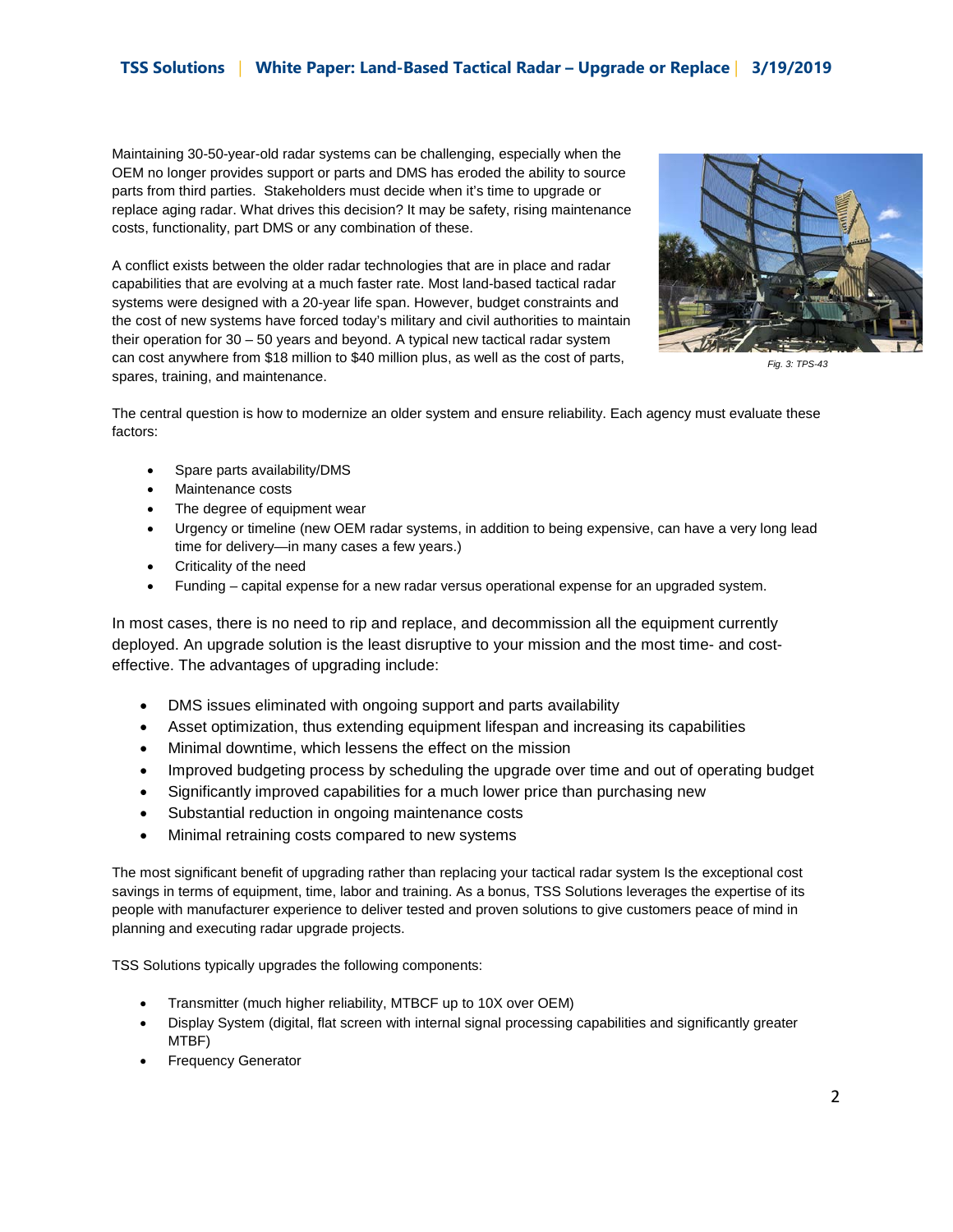### **TSS Solutions** | **White Paper: Land-Based Tactical Radar – Upgrade or Replace** | **3/19/2019**

Maintaining 30-50-year-old radar systems can be challenging, especially when the OEM no longer provides support or parts and DMS has eroded the ability to source parts from third parties. Stakeholders must decide when it's time to upgrade or replace aging radar. What drives this decision? It may be safety, rising maintenance costs, functionality, part DMS or any combination of these.

A conflict exists between the older radar technologies that are in place and radar capabilities that are evolving at a much faster rate. Most land-based tactical radar systems were designed with a 20-year life span. However, budget constraints and the cost of new systems have forced today's military and civil authorities to maintain their operation for 30 – 50 years and beyond. A typical new tactical radar system can cost anywhere from \$18 million to \$40 million plus, as well as the cost of parts, spares, training, and maintenance.



*Fig. 3: TPS-43*

The central question is how to modernize an older system and ensure reliability. Each agency must evaluate these factors:

- Spare parts availability/DMS
- Maintenance costs
- The degree of equipment wear
- Urgency or timeline (new OEM radar systems, in addition to being expensive, can have a very long lead time for delivery—in many cases a few years.)
- Criticality of the need
- Funding capital expense for a new radar versus operational expense for an upgraded system.

In most cases, there is no need to rip and replace, and decommission all the equipment currently deployed. An upgrade solution is the least disruptive to your mission and the most time- and costeffective. The advantages of upgrading include:

- DMS issues eliminated with ongoing support and parts availability
- Asset optimization, thus extending equipment lifespan and increasing its capabilities
- Minimal downtime, which lessens the effect on the mission
- Improved budgeting process by scheduling the upgrade over time and out of operating budget
- Significantly improved capabilities for a much lower price than purchasing new
- Substantial reduction in ongoing maintenance costs
- Minimal retraining costs compared to new systems

The most significant benefit of upgrading rather than replacing your tactical radar system Is the exceptional cost savings in terms of equipment, time, labor and training. As a bonus, TSS Solutions leverages the expertise of its people with manufacturer experience to deliver tested and proven solutions to give customers peace of mind in planning and executing radar upgrade projects.

TSS Solutions typically upgrades the following components:

- Transmitter (much higher reliability, MTBCF up to 10X over OEM)
- Display System (digital, flat screen with internal signal processing capabilities and significantly greater MTBF)
- Frequency Generator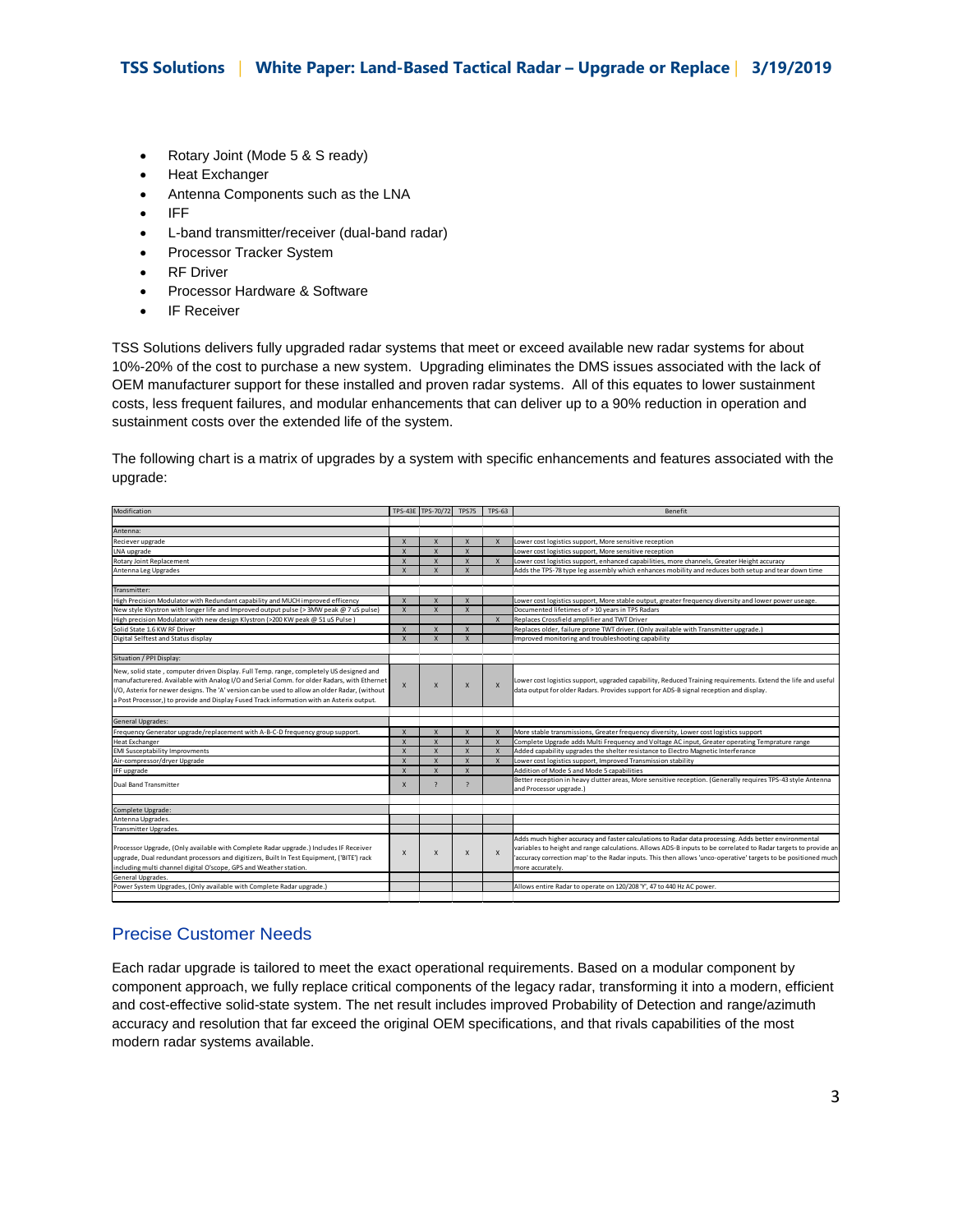- Rotary Joint (Mode 5 & S ready)
- Heat Exchanger
- Antenna Components such as the LNA
- IFF
- L-band transmitter/receiver (dual-band radar)
- Processor Tracker System
- RF Driver
- Processor Hardware & Software
- IF Receiver

TSS Solutions delivers fully upgraded radar systems that meet or exceed available new radar systems for about 10%-20% of the cost to purchase a new system. Upgrading eliminates the DMS issues associated with the lack of OEM manufacturer support for these installed and proven radar systems. All of this equates to lower sustainment costs, less frequent failures, and modular enhancements that can deliver up to a 90% reduction in operation and sustainment costs over the extended life of the system.

The following chart is a matrix of upgrades by a system with specific enhancements and features associated with the upgrade:

| Modification                                                                                  |              | TPS-43E TPS-70/72         | <b>TPS75</b>             | $TPS-63$                  | Benefit                                                                                                         |
|-----------------------------------------------------------------------------------------------|--------------|---------------------------|--------------------------|---------------------------|-----------------------------------------------------------------------------------------------------------------|
|                                                                                               |              |                           |                          |                           |                                                                                                                 |
| Antenna:                                                                                      |              |                           |                          |                           |                                                                                                                 |
| Reciever upgrade                                                                              | $\mathsf{x}$ | $\mathbf{x}$              | X                        | $\boldsymbol{\mathsf{x}}$ | Lower cost logistics support, More sensitive reception                                                          |
| LNA upgrade                                                                                   | $\mathbf{x}$ | $\mathbf{x}$              | $\mathsf{x}$             |                           | Lower cost logistics support, More sensitive reception                                                          |
| Rotary Joint Replacement                                                                      | $\mathsf{x}$ | $\mathsf{x}$              | $\mathsf{x}$             | $\mathsf{x}$              | Lower cost logistics support, enhanced capabilities, more channels, Greater Height accuracy                     |
| Antenna Leg Upgrades                                                                          | $\mathsf{x}$ | $\overline{\mathbf{x}}$   | $\overline{\mathsf{x}}$  |                           | Adds the TPS-78 type leg assembly which enhances mobility and reduces both setup and tear down time             |
|                                                                                               |              |                           |                          |                           |                                                                                                                 |
| Transmitter:                                                                                  |              |                           |                          |                           |                                                                                                                 |
| High Precision Modulator with Redundant capability and MUCH improved efficency                | $\mathsf{x}$ | $\mathbf{x}$              | $\mathsf{x}$             |                           | Lower cost logistics support, More stable output, greater frequency diversity and lower power useage.           |
| New style Klystron with longer life and Improved output pulse (> 3MW peak @ 7 uS pulse)       | $\mathsf{x}$ | $\mathsf{x}$              | $\mathsf{x}$             |                           | Documented lifetimes of > 10 years in TPS Radars                                                                |
| High precision Modulator with new design Klystron (>200 KW peak @ 51 uS Pulse)                |              |                           |                          | $\boldsymbol{\mathsf{x}}$ | Replaces Crossfield amplifier and TWT Driver                                                                    |
| Solid State 1.6 KW RF Driver                                                                  | X            | $\mathsf{x}$              | $\mathsf{x}$             |                           | Replaces older, failure prone TWT driver. (Only available with Transmitter upgrade.)                            |
| Digital Selftest and Status display                                                           | $\mathsf{x}$ | $\overline{\mathbf{x}}$   | $\mathsf{x}$             |                           | Improved monitoring and troubleshooting capability                                                              |
|                                                                                               |              |                           |                          |                           |                                                                                                                 |
| Situation / PPI Display:                                                                      |              |                           |                          |                           |                                                                                                                 |
| New, solid state, computer driven Display. Full Temp. range, completely US designed and       |              |                           |                          |                           |                                                                                                                 |
| manufacturered. Available with Analog I/O and Serial Comm. for older Radars, with Ethernet    |              |                           |                          |                           | Lower cost logistics support, upgraded capability, Reduced Training requirements. Extend the life and useful    |
| I/O, Asterix for newer designs. The 'A' version can be used to allow an older Radar, (without | X            | $\mathsf{x}$              | X                        | $\boldsymbol{\mathsf{x}}$ | data output for older Radars. Provides support for ADS-B signal reception and display.                          |
| a Post Processor,) to provide and Display Fused Track information with an Asterix output.     |              |                           |                          |                           |                                                                                                                 |
|                                                                                               |              |                           |                          |                           |                                                                                                                 |
| General Upgrades:                                                                             |              |                           |                          |                           |                                                                                                                 |
| Frequency Generator upgrade/replacement with A-B-C-D frequency group support.                 | $\mathsf{x}$ | $\mathsf{x}$              | $\mathsf{x}$             | $\boldsymbol{\mathsf{x}}$ | More stable transmissions, Greater frequency diversity, Lower cost logistics support                            |
| <b>Heat Exchanger</b>                                                                         | $\mathsf{x}$ | $\mathsf{x}$              | $\mathsf{x}$             | $\boldsymbol{\mathsf{x}}$ | Complete Upgrade adds Multi Frequency and Voltage AC input, Greater operating Temprature range                  |
| <b>EMI Susceptability Improvments</b>                                                         | $\mathsf{x}$ | $\mathsf{x}$              | $\mathsf{x}$             | $\boldsymbol{\mathsf{x}}$ | Added capability upgrades the shelter resistance to Electro Magnetic Interferance                               |
| Air-compressor/dryer Upgrade                                                                  | $\mathsf{x}$ | $\overline{\mathbf{x}}$   | $\overline{\mathsf{x}}$  | $\boldsymbol{\mathsf{x}}$ | Lower cost logistics support, Improved Transmission stability                                                   |
| IFF upgrade                                                                                   | $\mathsf{x}$ | $\mathsf{x}$              | X                        |                           | Addition of Mode S and Mode 5 capabilities                                                                      |
|                                                                                               |              |                           |                          |                           | Better reception in heavy clutter areas, More sensitive reception. (Generally requires TPS-43 style Antenna     |
| <b>Dual Band Transmitter</b>                                                                  | X            | $\overline{\phantom{0}}$  | $\overline{\phantom{a}}$ |                           | and Processor upgrade.)                                                                                         |
|                                                                                               |              |                           |                          |                           |                                                                                                                 |
| Complete Upgrade:                                                                             |              |                           |                          |                           |                                                                                                                 |
| Antenna Upgrades.                                                                             |              |                           |                          |                           |                                                                                                                 |
| Transmitter Upgrades.                                                                         |              |                           |                          |                           |                                                                                                                 |
|                                                                                               |              |                           |                          |                           | Adds much higher accuracy and faster calculations to Radar data processing. Adds better environmental           |
| Processor Upgrade, (Only available with Complete Radar upgrade.) Includes IF Receiver         |              |                           |                          |                           | variables to height and range calculations. Allows ADS-B inputs to be correlated to Radar targets to provide an |
| upgrade, Dual redundant processors and digitizers, Built In Test Equipment, ('BITE') rack     | X            | $\boldsymbol{\mathsf{x}}$ | $\mathsf{x}$             | $\boldsymbol{\mathsf{x}}$ | 'accuracy correction map' to the Radar inputs. This then allows 'unco-operative' targets to be positioned much  |
| including multi channel digital O'scope, GPS and Weather station.                             |              |                           |                          |                           | more accurately.                                                                                                |
| General Upgrades.                                                                             |              |                           |                          |                           |                                                                                                                 |
| Power System Upgrades, (Only available with Complete Radar upgrade.)                          |              |                           |                          |                           | Allows entire Radar to operate on 120/208 'Y', 47 to 440 Hz AC power.                                           |
|                                                                                               |              |                           |                          |                           |                                                                                                                 |

## Precise Customer Needs

Each radar upgrade is tailored to meet the exact operational requirements. Based on a modular component by component approach, we fully replace critical components of the legacy radar, transforming it into a modern, efficient and cost-effective solid-state system. The net result includes improved Probability of Detection and range/azimuth accuracy and resolution that far exceed the original OEM specifications, and that rivals capabilities of the most modern radar systems available.